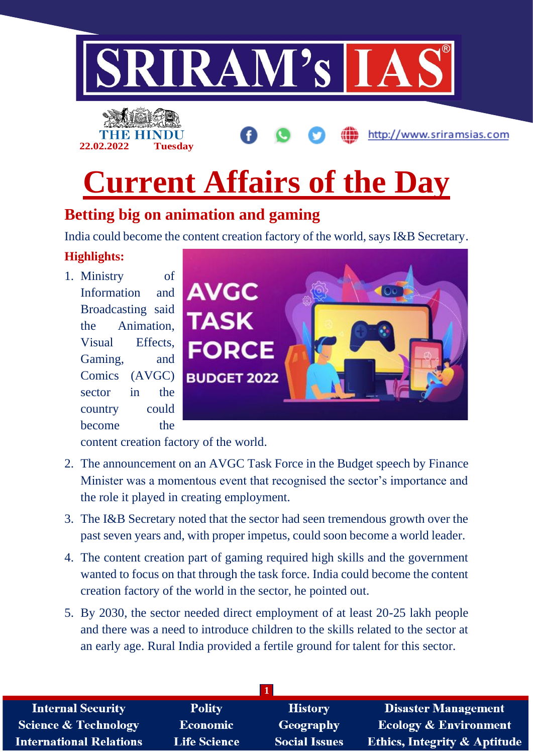



# **Current Affairs of the Day**

## **Betting big on animation and gaming**

India could become the content creation factory of the world, says I&B Secretary.

#### **Highlights:**

1. Ministry of Information and Broadcasting said the Animation, Visual Effects, Gaming, and Comics (AVGC) sector in the country could become the



http://www.sriramsias.com

content creation factory of the world.

- 2. The announcement on an AVGC Task Force in the Budget speech by Finance Minister was a momentous event that recognised the sector's importance and the role it played in creating employment.
- 3. The I&B Secretary noted that the sector had seen tremendous growth over the past seven years and, with proper impetus, could soon become a world leader.
- 4. The content creation part of gaming required high skills and the government wanted to focus on that through the task force. India could become the content creation factory of the world in the sector, he pointed out.
- 5. By 2030, the sector needed direct employment of at least 20-25 lakh people and there was a need to introduce children to the skills related to the sector at an early age. Rural India provided a fertile ground for talent for this sector.

| <b>Internal Security</b>        | <b>Polity</b>       | <b>History</b>       | <b>Disaster Management</b>              |
|---------------------------------|---------------------|----------------------|-----------------------------------------|
| <b>Science &amp; Technology</b> | Economic            | Geography            | <b>Ecology &amp; Environment</b>        |
| <b>International Relations</b>  | <b>Life Science</b> | <b>Social Issues</b> | <b>Ethics, Integrity &amp; Aptitude</b> |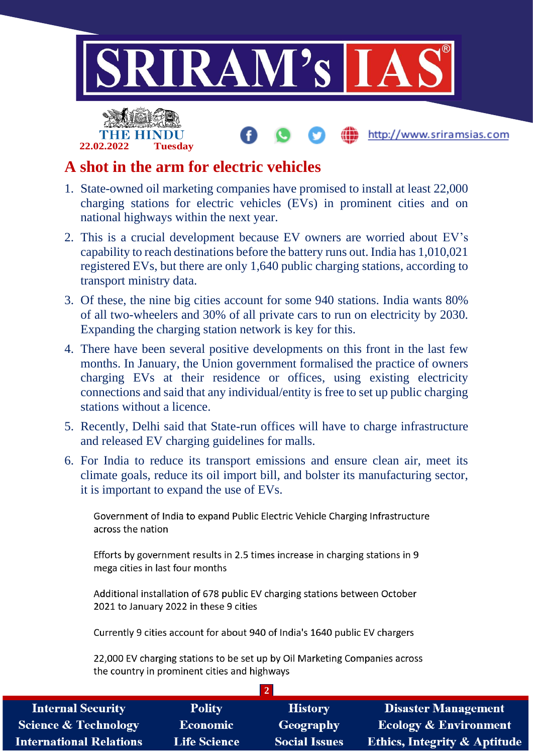

#### **A shot in the arm for electric vehicles**

- 1. State-owned oil marketing companies have promised to install at least 22,000 charging stations for electric vehicles (EVs) in prominent cities and on national highways within the next year.
- 2. This is a crucial development because EV owners are worried about EV's capability to reach destinations before the battery runs out. India has 1,010,021 registered EVs, but there are only 1,640 public charging stations, according to transport ministry data.
- 3. Of these, the nine big cities account for some 940 stations. India wants 80% of all two-wheelers and 30% of all private cars to run on electricity by 2030. Expanding the charging station network is key for this.
- 4. There have been several positive developments on this front in the last few months. In January, the Union government formalised the practice of owners charging EVs at their residence or offices, using existing electricity connections and said that any individual/entity is free to set up public charging stations without a licence.
- 5. Recently, Delhi said that State-run offices will have to charge infrastructure and released EV charging guidelines for malls.
- 6. For India to reduce its transport emissions and ensure clean air, meet its climate goals, reduce its oil import bill, and bolster its manufacturing sector, it is important to expand the use of EVs.

Government of India to expand Public Electric Vehicle Charging Infrastructure across the nation

Efforts by government results in 2.5 times increase in charging stations in 9 mega cities in last four months

Additional installation of 678 public EV charging stations between October 2021 to January 2022 in these 9 cities

Currently 9 cities account for about 940 of India's 1640 public EV chargers

22,000 EV charging stations to be set up by Oil Marketing Companies across the country in prominent cities and highways

| <b>Internal Security</b>       | <b>Polity</b>       | <b>History</b>       | <b>Disaster Management</b>              |
|--------------------------------|---------------------|----------------------|-----------------------------------------|
| Science & Technology           | <b>Economic</b>     | Geography            | <b>Ecology &amp; Environment</b>        |
| <b>International Relations</b> | <b>Life Science</b> | <b>Social Issues</b> | <b>Ethics, Integrity &amp; Aptitude</b> |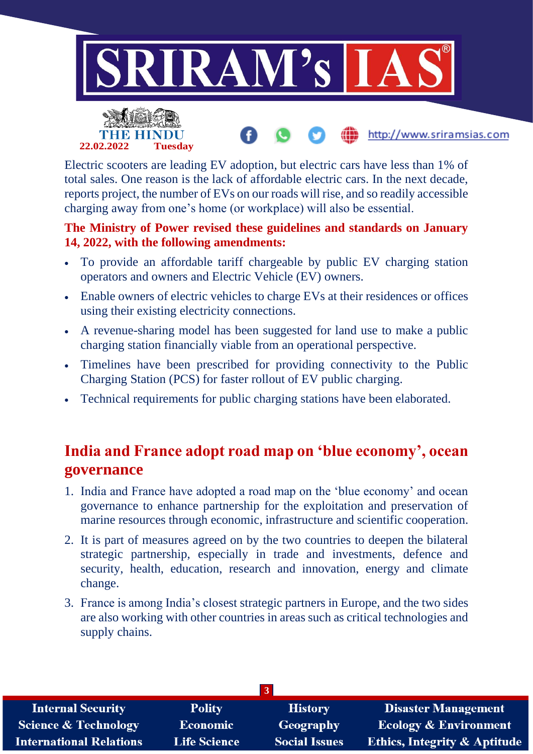

http://www.sriramsias.com



Electric scooters are leading EV adoption, but electric cars have less than 1% of total sales. One reason is the lack of affordable electric cars. In the next decade, reports project, the number of EVs on our roads will rise, and so readily accessible charging away from one's home (or workplace) will also be essential.

#### **The Ministry of Power revised these guidelines and standards on January 14, 2022, with the following amendments:**

- To provide an affordable tariff chargeable by public EV charging station operators and owners and Electric Vehicle (EV) owners.
- Enable owners of electric vehicles to charge EVs at their residences or offices using their existing electricity connections.
- A revenue-sharing model has been suggested for land use to make a public charging station financially viable from an operational perspective.
- Timelines have been prescribed for providing connectivity to the Public Charging Station (PCS) for faster rollout of EV public charging.
- Technical requirements for public charging stations have been elaborated.

### **India and France adopt road map on 'blue economy', ocean governance**

- 1. India and France have adopted a road map on the 'blue economy' and ocean governance to enhance partnership for the exploitation and preservation of marine resources through economic, infrastructure and scientific cooperation.
- 2. It is part of measures agreed on by the two countries to deepen the bilateral strategic partnership, especially in trade and investments, defence and security, health, education, research and innovation, energy and climate change.
- 3. France is among India's closest strategic partners in Europe, and the two sides are also working with other countries in areas such as critical technologies and supply chains.

| <b>Internal Security</b>        | <b>Polity</b>       | <b>History</b>       | <b>Disaster Management</b>              |
|---------------------------------|---------------------|----------------------|-----------------------------------------|
| <b>Science &amp; Technology</b> | Economic            | Geography            | <b>Ecology &amp; Environment</b>        |
| <b>International Relations</b>  | <b>Life Science</b> | <b>Social Issues</b> | <b>Ethics, Integrity &amp; Aptitude</b> |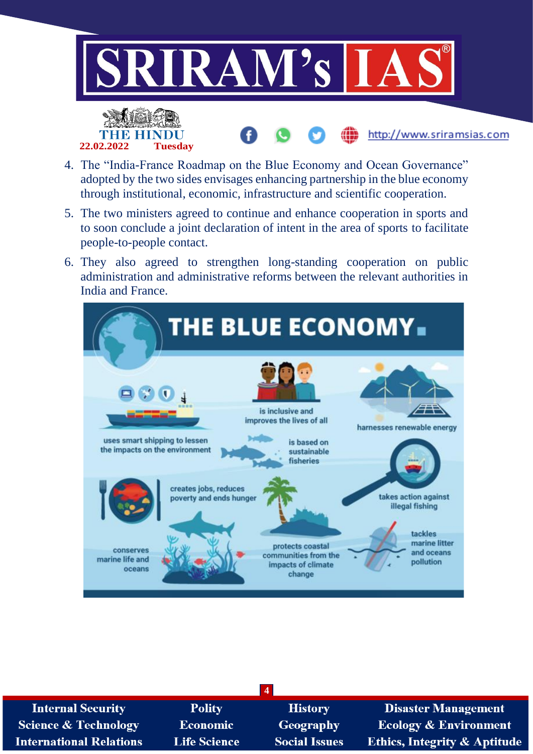

4. The "India-France Roadmap on the Blue Economy and Ocean Governance" adopted by the two sides envisages enhancing partnership in the blue economy through institutional, economic, infrastructure and scientific cooperation.

**22.02.2022 Tuesday**

- 5. The two ministers agreed to continue and enhance cooperation in sports and to soon conclude a joint declaration of intent in the area of sports to facilitate people-to-people contact.
- 6. They also agreed to strengthen long-standing cooperation on public administration and administrative reforms between the relevant authorities in India and France.



| <b>Internal Security</b>       | <b>Polity</b>       | <b>History</b>       | <b>Disaster Management</b>              |
|--------------------------------|---------------------|----------------------|-----------------------------------------|
| Science & Technology           | <b>Economic</b>     | Geography            | <b>Ecology &amp; Environment</b>        |
| <b>International Relations</b> | <b>Life Science</b> | <b>Social Issues</b> | <b>Ethics, Integrity &amp; Aptitude</b> |